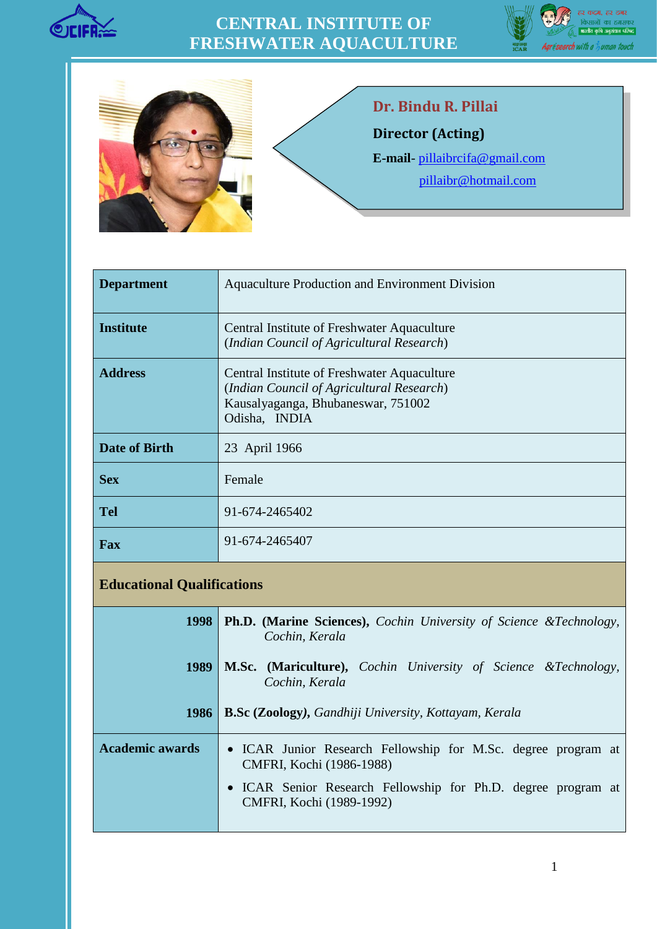

## **CENTRAL INSTITUTE OF FRESHWATER AQUACULTURE**





## **Dr. Bindu R. Pillai**

**Director (Acting)**

**E-mail**- [pillaibrcifa@gmail.com](file:///F:/New%20Folder/bindupillaicifa@gmail.com)

 [pillaibr@hotmail.com](mailto:%20%20pillaibr@hotmail.com)

| <b>Department</b>    | Aquaculture Production and Environment Division                                                                                                 |
|----------------------|-------------------------------------------------------------------------------------------------------------------------------------------------|
| <b>Institute</b>     | Central Institute of Freshwater Aquaculture<br>(Indian Council of Agricultural Research)                                                        |
| <b>Address</b>       | Central Institute of Freshwater Aquaculture<br>(Indian Council of Agricultural Research)<br>Kausalyaganga, Bhubaneswar, 751002<br>Odisha, INDIA |
| <b>Date of Birth</b> | 23 April 1966                                                                                                                                   |
| <b>Sex</b>           | Female                                                                                                                                          |
| <b>Tel</b>           | 91-674-2465402                                                                                                                                  |
| Fax                  | 91-674-2465407                                                                                                                                  |

## **Educational Qualifications**

| 1998                   | <b>Ph.D.</b> (Marine Sciences), Cochin University of Science &Technology,<br>Cochin, Kerala |
|------------------------|---------------------------------------------------------------------------------------------|
| 1989                   | <b>M.Sc. (Mariculture),</b> Cochin University of Science &Technology,<br>Cochin, Kerala     |
| <b>1986</b>            | <b>B.Sc (Zoology), Gandhiji University, Kottayam, Kerala</b>                                |
| <b>Academic awards</b> | • ICAR Junior Research Fellowship for M.Sc. degree program at<br>CMFRI, Kochi (1986-1988)   |
|                        | • ICAR Senior Research Fellowship for Ph.D. degree program at<br>CMFRI, Kochi (1989-1992)   |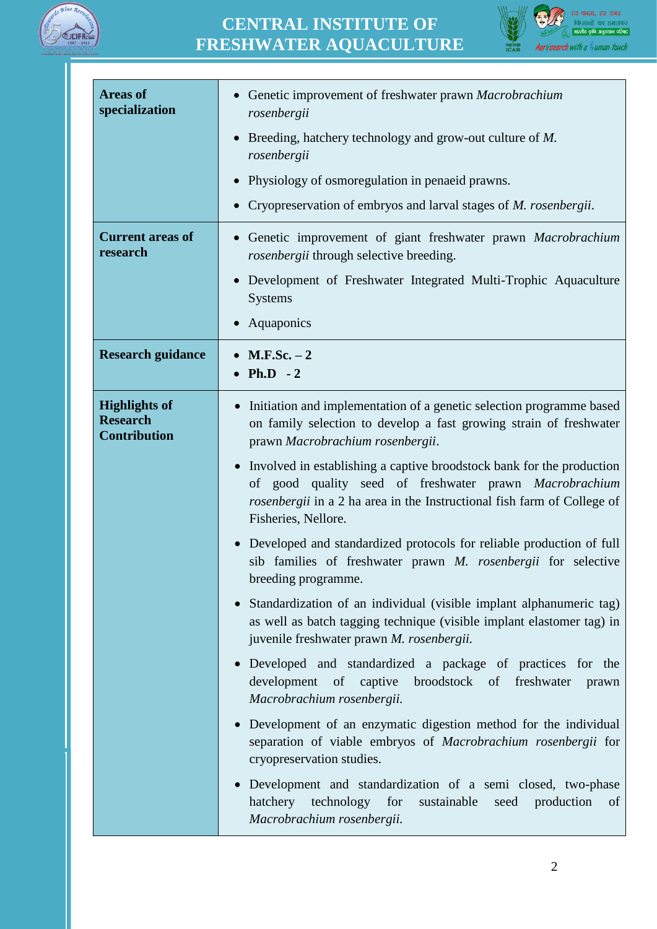

## **CENTRAL INSTITUTE OF FRESHWATER AQUACULTURE**



| <b>Areas of</b><br>specialization                              | Genetic improvement of freshwater prawn Macrobrachium<br>rosenbergii                                                                                                                                                                           |
|----------------------------------------------------------------|------------------------------------------------------------------------------------------------------------------------------------------------------------------------------------------------------------------------------------------------|
|                                                                | Breeding, hatchery technology and grow-out culture of M.<br>rosenbergii                                                                                                                                                                        |
|                                                                | Physiology of osmoregulation in penaeid prawns.                                                                                                                                                                                                |
|                                                                | Cryopreservation of embryos and larval stages of <i>M. rosenbergii</i> .                                                                                                                                                                       |
| <b>Current areas of</b><br>research                            | Genetic improvement of giant freshwater prawn Macrobrachium<br>rosenbergii through selective breeding.                                                                                                                                         |
|                                                                | Development of Freshwater Integrated Multi-Trophic Aquaculture<br><b>Systems</b>                                                                                                                                                               |
|                                                                | Aquaponics                                                                                                                                                                                                                                     |
| <b>Research guidance</b>                                       | $M.F.Sc. - 2$<br>$Ph.D - 2$                                                                                                                                                                                                                    |
| <b>Highlights of</b><br><b>Research</b><br><b>Contribution</b> | Initiation and implementation of a genetic selection programme based<br>on family selection to develop a fast growing strain of freshwater<br>prawn Macrobrachium rosenbergii.                                                                 |
|                                                                | Involved in establishing a captive broodstock bank for the production<br>$\bullet$<br>of good quality seed of freshwater prawn Macrobrachium<br>rosenbergii in a 2 ha area in the Instructional fish farm of College of<br>Fisheries, Nellore. |
|                                                                | Developed and standardized protocols for reliable production of full<br>$\bullet$<br>sib families of freshwater prawn M. rosenbergii for selective<br>breeding programme.                                                                      |
|                                                                | Standardization of an individual (visible implant alphanumeric tag)<br>as well as batch tagging technique (visible implant elastomer tag) in<br>juvenile freshwater prawn M. rosenbergii.                                                      |
|                                                                | Developed and standardized a package of practices for the<br>$\bullet$<br>development<br>captive<br>broodstock of freshwater<br>of<br>prawn<br>Macrobrachium rosenbergii.                                                                      |
|                                                                | Development of an enzymatic digestion method for the individual<br>$\bullet$<br>separation of viable embryos of Macrobrachium rosenbergii for<br>cryopreservation studies.                                                                     |
|                                                                | Development and standardization of a semi closed, two-phase<br>$\bullet$<br>technology for<br>hatchery<br>sustainable<br>production<br>seed<br>of<br>Macrobrachium rosenbergii.                                                                |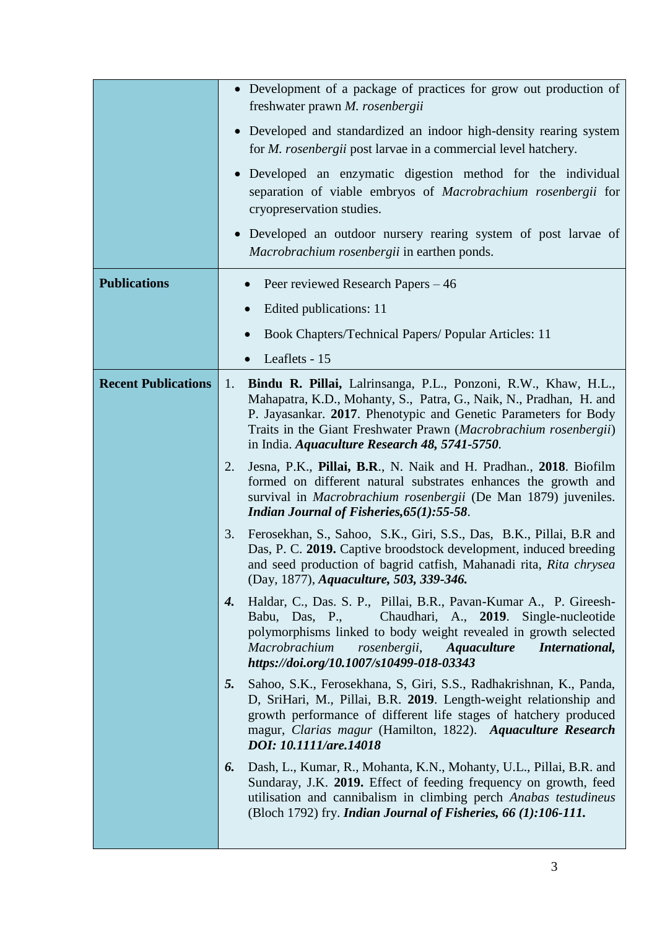|                            | • Development of a package of practices for grow out production of<br>freshwater prawn M. rosenbergii                                                                                                                                                                                                                              |
|----------------------------|------------------------------------------------------------------------------------------------------------------------------------------------------------------------------------------------------------------------------------------------------------------------------------------------------------------------------------|
|                            | • Developed and standardized an indoor high-density rearing system<br>for <i>M. rosenbergii</i> post larvae in a commercial level hatchery.                                                                                                                                                                                        |
|                            | • Developed an enzymatic digestion method for the individual<br>separation of viable embryos of Macrobrachium rosenbergii for<br>cryopreservation studies.                                                                                                                                                                         |
|                            | Developed an outdoor nursery rearing system of post larvae of<br>$\bullet$<br>Macrobrachium rosenbergii in earthen ponds.                                                                                                                                                                                                          |
| <b>Publications</b>        | Peer reviewed Research Papers – 46                                                                                                                                                                                                                                                                                                 |
|                            | Edited publications: 11                                                                                                                                                                                                                                                                                                            |
|                            | Book Chapters/Technical Papers/ Popular Articles: 11                                                                                                                                                                                                                                                                               |
|                            | Leaflets - 15                                                                                                                                                                                                                                                                                                                      |
| <b>Recent Publications</b> | Bindu R. Pillai, Lalrinsanga, P.L., Ponzoni, R.W., Khaw, H.L.,<br>1.<br>Mahapatra, K.D., Mohanty, S., Patra, G., Naik, N., Pradhan, H. and<br>P. Jayasankar. 2017. Phenotypic and Genetic Parameters for Body<br>Traits in the Giant Freshwater Prawn (Macrobrachium rosenbergii)<br>in India. Aquaculture Research 48, 5741-5750. |
|                            | 2.<br>Jesna, P.K., Pillai, B.R., N. Naik and H. Pradhan., 2018. Biofilm<br>formed on different natural substrates enhances the growth and<br>survival in Macrobrachium rosenbergii (De Man 1879) juveniles.<br>Indian Journal of Fisheries, 65(1): 55-58.                                                                          |
|                            | Ferosekhan, S., Sahoo, S.K., Giri, S.S., Das, B.K., Pillai, B.R and<br>3.<br>Das, P. C. 2019. Captive broodstock development, induced breeding<br>and seed production of bagrid catfish, Mahanadi rita, Rita chrysea<br>(Day, 1877), Aquaculture, 503, 339-346.                                                                    |
|                            | Haldar, C., Das. S. P., Pillai, B.R., Pavan-Kumar A., P. Gireesh-<br>4.<br>Babu, Das, P., Chaudhari, A., 2019. Single-nucleotide<br>polymorphisms linked to body weight revealed in growth selected<br>Macrobrachium<br>rosenbergii, Aquaculture<br>International,<br>https://doi.org/10.1007/s10499-018-03343                     |
|                            | Sahoo, S.K., Ferosekhana, S. Giri, S.S., Radhakrishnan, K., Panda,<br>5.<br>D, SriHari, M., Pillai, B.R. 2019. Length-weight relationship and<br>growth performance of different life stages of hatchery produced<br>magur, Clarias magur (Hamilton, 1822). Aquaculture Research<br>DOI: 10.1111/are.14018                         |
|                            | Dash, L., Kumar, R., Mohanta, K.N., Mohanty, U.L., Pillai, B.R. and<br>6.<br>Sundaray, J.K. 2019. Effect of feeding frequency on growth, feed<br>utilisation and cannibalism in climbing perch Anabas testudineus<br>(Bloch 1792) fry. Indian Journal of Fisheries, 66 (1):106-111.                                                |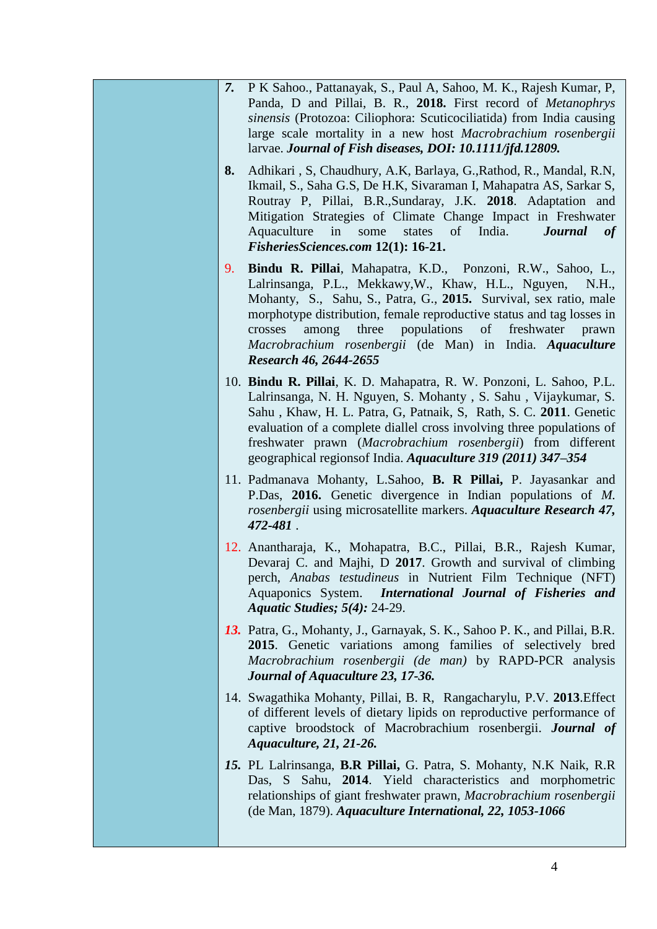| P K Sahoo., Pattanayak, S., Paul A, Sahoo, M. K., Rajesh Kumar, P.<br>7.<br>Panda, D and Pillai, B. R., 2018. First record of <i>Metanophrys</i><br>sinensis (Protozoa: Ciliophora: Scuticociliatida) from India causing<br>large scale mortality in a new host Macrobrachium rosenbergii<br>larvae. Journal of Fish diseases, DOI: 10.1111/jfd.12809.                                                                                   |
|------------------------------------------------------------------------------------------------------------------------------------------------------------------------------------------------------------------------------------------------------------------------------------------------------------------------------------------------------------------------------------------------------------------------------------------|
| Adhikari, S, Chaudhury, A.K, Barlaya, G., Rathod, R., Mandal, R.N,<br>8.<br>Ikmail, S., Saha G.S, De H.K, Sivaraman I, Mahapatra AS, Sarkar S,<br>Routray P, Pillai, B.R., Sundaray, J.K. 2018. Adaptation and<br>Mitigation Strategies of Climate Change Impact in Freshwater<br>Aquaculture in some<br>states<br>of India.<br><b>Journal</b><br>of<br>FisheriesSciences.com 12(1): 16-21.                                              |
| Bindu R. Pillai, Mahapatra, K.D., Ponzoni, R.W., Sahoo, L.,<br>9.<br>Lalrinsanga, P.L., Mekkawy, W., Khaw, H.L., Nguyen,<br>N.H.,<br>Mohanty, S., Sahu, S., Patra, G., 2015. Survival, sex ratio, male<br>morphotype distribution, female reproductive status and tag losses in<br>three populations<br>of freshwater<br>crosses<br>among<br>prawn<br>Macrobrachium rosenbergii (de Man) in India. Aquaculture<br>Research 46, 2644-2655 |
| 10. Bindu R. Pillai, K. D. Mahapatra, R. W. Ponzoni, L. Sahoo, P.L.<br>Lalrinsanga, N. H. Nguyen, S. Mohanty, S. Sahu, Vijaykumar, S.<br>Sahu, Khaw, H. L. Patra, G, Patnaik, S, Rath, S. C. 2011. Genetic<br>evaluation of a complete diallel cross involving three populations of<br>freshwater prawn (Macrobrachium rosenbergii) from different<br>geographical regions of India. Aquaculture 319 (2011) 347–354                      |
| 11. Padmanava Mohanty, L.Sahoo, B. R Pillai, P. Jayasankar and<br>P.Das, 2016. Genetic divergence in Indian populations of M.<br>rosenbergii using microsatellite markers. Aquaculture Research 47,<br>472-481.                                                                                                                                                                                                                          |
| 12. Anantharaja, K., Mohapatra, B.C., Pillai, B.R., Rajesh Kumar,<br>Devaraj C. and Majhi, D 2017. Growth and survival of climbing<br>perch, Anabas testudineus in Nutrient Film Technique (NFT)<br>International Journal of Fisheries and<br>Aquaponics System.<br><b>Aquatic Studies; 5(4): 24-29.</b>                                                                                                                                 |
| 13. Patra, G., Mohanty, J., Garnayak, S. K., Sahoo P. K., and Pillai, B.R.<br>2015. Genetic variations among families of selectively bred<br>Macrobrachium rosenbergii (de man) by RAPD-PCR analysis<br>Journal of Aquaculture 23, 17-36.                                                                                                                                                                                                |
| 14. Swagathika Mohanty, Pillai, B. R, Rangacharylu, P.V. 2013. Effect<br>of different levels of dietary lipids on reproductive performance of<br>captive broodstock of Macrobrachium rosenbergii. Journal of<br><i>Aquaculture, 21, 21-26.</i>                                                                                                                                                                                           |
| 15. PL Lalrinsanga, B.R Pillai, G. Patra, S. Mohanty, N.K Naik, R.R<br>Das, S Sahu, 2014. Yield characteristics and morphometric<br>relationships of giant freshwater prawn, Macrobrachium rosenbergii<br>(de Man, 1879). Aquaculture International, 22, 1053-1066                                                                                                                                                                       |
|                                                                                                                                                                                                                                                                                                                                                                                                                                          |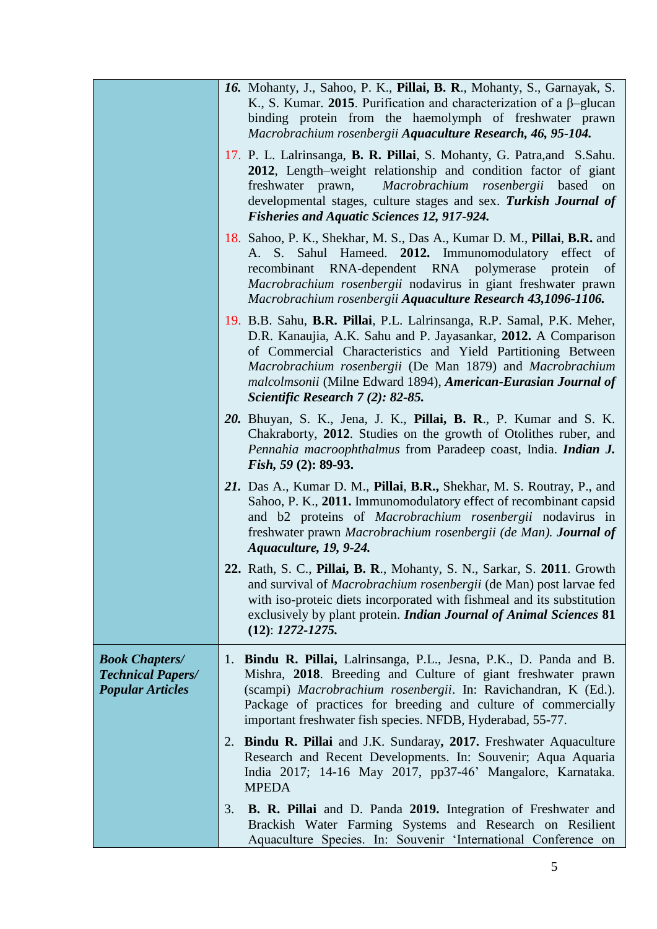|                                                                              | 16. Mohanty, J., Sahoo, P. K., Pillai, B. R., Mohanty, S., Garnayak, S.<br>K., S. Kumar. 2015. Purification and characterization of a $\beta$ -glucan<br>binding protein from the haemolymph of freshwater prawn<br>Macrobrachium rosenbergii Aquaculture Research, 46, 95-104.                                                                                             |
|------------------------------------------------------------------------------|-----------------------------------------------------------------------------------------------------------------------------------------------------------------------------------------------------------------------------------------------------------------------------------------------------------------------------------------------------------------------------|
|                                                                              | 17. P. L. Lalrinsanga, B. R. Pillai, S. Mohanty, G. Patra, and S. Sahu.<br>2012, Length–weight relationship and condition factor of giant<br>Macrobrachium rosenbergii based on<br>freshwater prawn,<br>developmental stages, culture stages and sex. Turkish Journal of<br><b>Fisheries and Aquatic Sciences 12, 917-924.</b>                                              |
|                                                                              | 18. Sahoo, P. K., Shekhar, M. S., Das A., Kumar D. M., Pillai, B.R. and<br>A. S. Sahul Hameed. 2012. Immunomodulatory effect<br>of<br>recombinant RNA-dependent RNA polymerase protein<br>of<br>Macrobrachium rosenbergii nodavirus in giant freshwater prawn<br>Macrobrachium rosenbergii Aquaculture Research 43,1096-1106.                                               |
|                                                                              | 19. B.B. Sahu, B.R. Pillai, P.L. Lalrinsanga, R.P. Samal, P.K. Meher,<br>D.R. Kanaujia, A.K. Sahu and P. Jayasankar, 2012. A Comparison<br>of Commercial Characteristics and Yield Partitioning Between<br>Macrobrachium rosenbergii (De Man 1879) and Macrobrachium<br>malcolmsonii (Milne Edward 1894), American-Eurasian Journal of<br>Scientific Research 7 (2): 82-85. |
|                                                                              | 20. Bhuyan, S. K., Jena, J. K., Pillai, B. R., P. Kumar and S. K.<br>Chakraborty, 2012. Studies on the growth of Otolithes ruber, and<br>Pennahia macroophthalmus from Paradeep coast, India. Indian J.<br><i>Fish</i> , $59(2)$ : 89-93.                                                                                                                                   |
|                                                                              | 21. Das A., Kumar D. M., Pillai, B.R., Shekhar, M. S. Routray, P., and<br>Sahoo, P. K., 2011. Immunomodulatory effect of recombinant capsid<br>and b2 proteins of Macrobrachium rosenbergii nodavirus in<br>freshwater prawn Macrobrachium rosenbergii (de Man). Journal of<br>Aquaculture, 19, 9-24.                                                                       |
|                                                                              | 22. Rath, S. C., Pillai, B. R., Mohanty, S. N., Sarkar, S. 2011. Growth<br>and survival of <i>Macrobrachium rosenbergii</i> (de Man) post larvae fed<br>with iso-proteic diets incorporated with fishmeal and its substitution<br>exclusively by plant protein. Indian Journal of Animal Sciences 81<br>$(12): 1272 - 1275.$                                                |
| <b>Book Chapters/</b><br><b>Technical Papers/</b><br><b>Popular Articles</b> | 1. Bindu R. Pillai, Lalrinsanga, P.L., Jesna, P.K., D. Panda and B.<br>Mishra, 2018. Breeding and Culture of giant freshwater prawn<br>(scampi) Macrobrachium rosenbergii. In: Ravichandran, K (Ed.).<br>Package of practices for breeding and culture of commercially<br>important freshwater fish species. NFDB, Hyderabad, 55-77.                                        |
|                                                                              | 2. Bindu R. Pillai and J.K. Sundaray, 2017. Freshwater Aquaculture<br>Research and Recent Developments. In: Souvenir; Aqua Aquaria<br>India 2017; 14-16 May 2017, pp37-46' Mangalore, Karnataka.<br><b>MPEDA</b>                                                                                                                                                            |
|                                                                              | <b>B. R. Pillai</b> and D. Panda 2019. Integration of Freshwater and<br>3.<br>Brackish Water Farming Systems and Research on Resilient<br>Aquaculture Species. In: Souvenir 'International Conference on                                                                                                                                                                    |